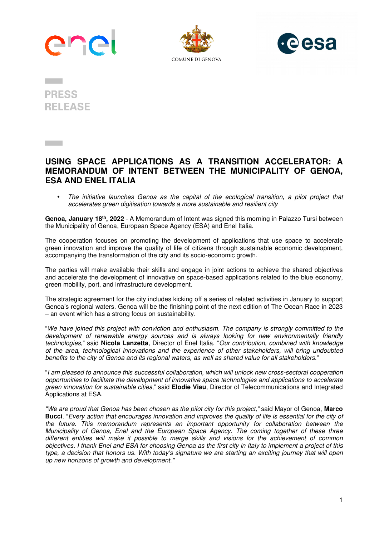





**PRESS RELEASE** 

**Contractor** 

## **USING SPACE APPLICATIONS AS A TRANSITION ACCELERATOR: A MEMORANDUM OF INTENT BETWEEN THE MUNICIPALITY OF GENOA, ESA AND ENEL ITALIA**

• The initiative launches Genoa as the capital of the ecological transition, a pilot project that accelerates green digitisation towards a more sustainable and resilient city

**Genoa, January 18th, 2022** - A Memorandum of Intent was signed this morning in Palazzo Tursi between the Municipality of Genoa, European Space Agency (ESA) and Enel Italia.

The cooperation focuses on promoting the development of applications that use space to accelerate green innovation and improve the quality of life of citizens through sustainable economic development, accompanying the transformation of the city and its socio-economic growth.

The parties will make available their skills and engage in joint actions to achieve the shared objectives and accelerate the development of innovative on space-based applications related to the blue economy, green mobility, port, and infrastructure development.

The strategic agreement for the city includes kicking off a series of related activities in January to support Genoa's regional waters. Genoa will be the finishing point of the next edition of The Ocean Race in 2023 – an event which has a strong focus on sustainability.

"We have joined this project with conviction and enthusiasm. The company is strongly committed to the development of renewable energy sources and is always looking for new environmentally friendly technologies," said **Nicola Lanzetta**, Director of Enel Italia. "Our contribution, combined with knowledge of the area, technological innovations and the experience of other stakeholders, will bring undoubted benefits to the city of Genoa and its regional waters, as well as shared value for all stakeholders."

"I am pleased to announce this successful collaboration, which will unlock new cross-sectoral cooperation opportunities to facilitate the development of innovative space technologies and applications to accelerate green innovation for sustainable cities," said **Elodie Viau**, Director of Telecommunications and Integrated Applications at ESA.

"We are proud that Genoa has been chosen as the pilot city for this project," said Mayor of Genoa, **Marco Bucci**. "Every action that encourages innovation and improves the quality of life is essential for the city of the future. This memorandum represents an important opportunity for collaboration between the Municipality of Genoa, Enel and the European Space Agency. The coming together of these three different entities will make it possible to merge skills and visions for the achievement of common objectives. I thank Enel and ESA for choosing Genoa as the first city in Italy to implement a project of this type, a decision that honors us. With today's signature we are starting an exciting journey that will open up new horizons of growth and development."